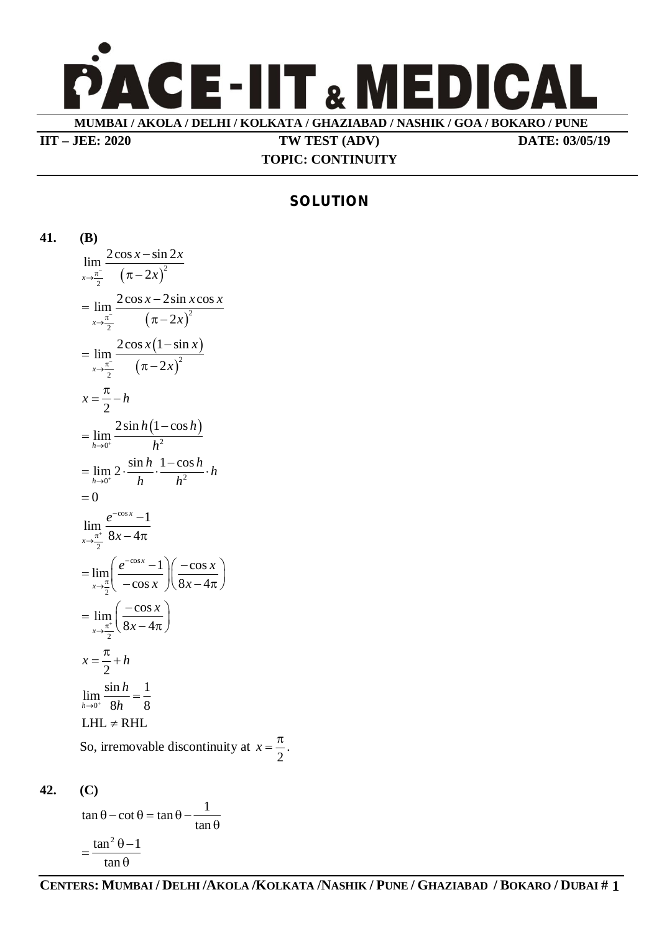

**IIT – JEE: 2020 TW TEST (ADV) DATE: 03/05/19**

## **TOPIC: CONTINUITY**

## **SOLUTION**

**41. (B)**  $(\pi - 2x)^2$ 2  $\lim \frac{2\cos x - \sin 2x}{1}$  $\lambda \rightarrow \frac{\pi}{2}$   $\pi - 2$  $x - \sin 2x$  $\frac{\pi}{2}$   $(\pi - 2x)$  $\overline{\phantom{0}}$  $\pi - 2$  $(\pi - 2x)^2$ 2  $\lim \frac{2\cos x - 2\sin x \cos x}{2}$  $\lambda x \rightarrow \frac{\pi}{2}$   $\pi - 2$  $x - 2\sin x \cos x$  $\rightarrow \frac{\pi}{2}$   $(\pi - 2x)$  $=\lim \frac{2\cos x \pi - 2$  $(1-\sin x)$  $(\pi - 2x)^2$ 2  $2\cos x(1-\sin x)$ lim  $\lambda x \rightarrow \frac{\pi}{2}$   $\pi - 2$  $x(1-\sin x)$  $\rightarrow \frac{\pi}{2}$   $(\pi - 2x)$  $\overline{a}$  $=$  $\pi - 2$ 2  $x = \frac{\pi}{2} - h$  $(1-\cos h)$  $\frac{1}{0^+}$   $h^2$  $2\sin h(1-\cos$ lim *h*  $h(1-\cos h)$  $\rightarrow$ <sup>0<sup>+</sup></sup> h <sup>-</sup>  $=$  $\lim_{h\to 0^+} 2\cdot \frac{\sin h}{h} \cdot \frac{1-\cos h}{h^2} \cdot h$  $\rightarrow$ <sup>0<sup>+</sup></sup> *h*  $h^2$  $=\lim 2 \cdot \frac{\sin h}{h} \cdot \frac{1-\cos h}{h} \cdot h$  $= 0$ cos 2  $\lim_{x \to 0} \frac{e^{-\cos x} - 1}{2}$  $8x - 47$ *x x e*  $\frac{1}{2}$  8x - $\rightarrow \frac{\pi}{4}$ - $-4\pi$ cos 2  $\lim \left( \frac{e^{-\cos x} - 1}{\cos x} \right) \left( \frac{-\cos x}{\cos x} \right)$  $\cos x \sqrt{8x-4\pi}$ *x x*  $e^{-\cos x} - 1$   $\left| \right| - \cos x$  $x \sqrt{8x}$ - $\rightarrow \frac{\pi}{4}$  $=\lim_{x\to\frac{\pi}{2}}\left(\frac{e^{-\cos x}-1}{-\cos x}\right)\left(\frac{-\cos x}{8x-4\pi}\right)$ 2  $\lim_{\infty} \frac{\cos \theta}{\cos \theta}$  $\lim_{x\to \frac{\pi}{2}}$   $8x-4\pi$ *x*  $\rightarrow \frac{\pi^+}{2}$  8x  $=\lim_{x\to \frac{\pi^+}{2}}\left(\frac{-\cos x}{8x-4\pi}\right)$ 2  $x = \frac{\pi}{2} + h$  $\lim_{h \to 0^+} \frac{\sin h}{8h} = \frac{1}{8}$  $h \rightarrow 0^+$  8*h* 8 *h*  $\rightarrow$ <sup>0+</sup> 8*h*  $=$  $LHL \neq RHL$ So, irremovable discontinuity at

**42. (C)**

 $\tan \theta - \cot \theta = \tan \theta - \frac{1}{\sqrt{1-\frac{1}{\theta^2}}}$ tan  $\theta$  – cot  $\theta$  = tan  $\theta$  – - $\theta$  $=\frac{\tan^2 \theta -1}{2}$ tan  $\theta$ 

2  $x = \frac{\pi}{2}$ .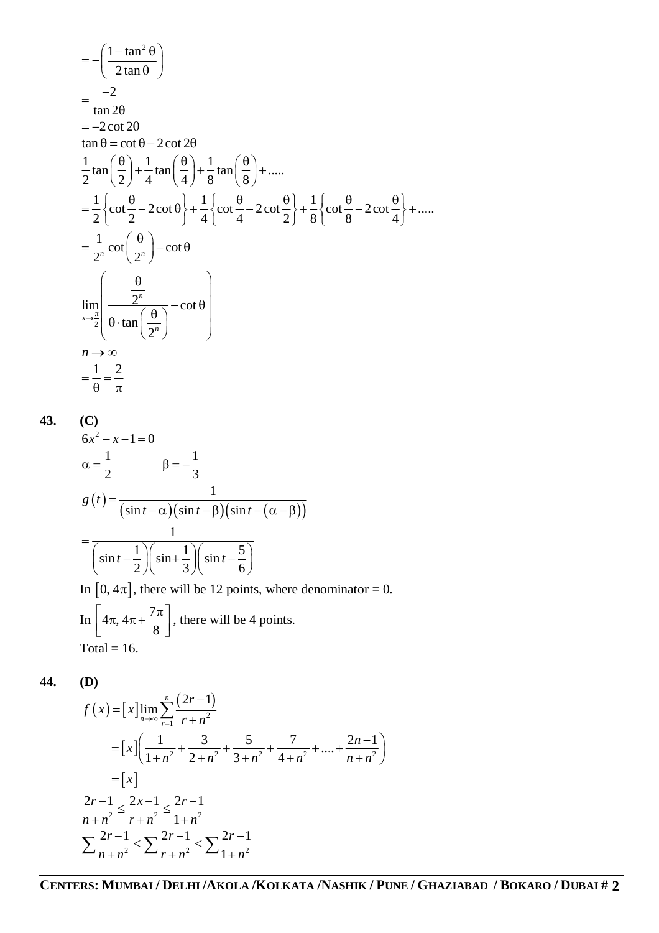$$
= -\left(\frac{1-\tan^2{\theta}}{2\tan{\theta}}\right)
$$
  
\n
$$
= \frac{-2}{\tan{2\theta}}
$$
  
\n
$$
= -2 \cot{2\theta}
$$
  
\n
$$
\tan{\theta} = \cot{\theta} - 2 \cot{2\theta}
$$
  
\n
$$
\frac{1}{2}\tan{\left(\frac{\theta}{2}\right)} + \frac{1}{4}\tan{\left(\frac{\theta}{4}\right)} + \frac{1}{8}\tan{\left(\frac{\theta}{8}\right)} + \dots
$$
  
\n
$$
= \frac{1}{2}\left\{\cot{\frac{\theta}{2}} - 2 \cot{\theta}\right\} + \frac{1}{4}\left\{\cot{\frac{\theta}{4}} - 2 \cot{\frac{\theta}{2}}\right\} + \frac{1}{8}\left\{\cot{\frac{\theta}{8}} - 2 \cot{\frac{\theta}{4}}\right\} + \dots
$$
  
\n
$$
= \frac{1}{2^n}\cot{\left(\frac{\theta}{2^n}\right)} - \cot{\theta}
$$
  
\n
$$
\lim_{x \to \frac{\pi}{2}} \left( \frac{\frac{\theta}{2^n}}{\theta \cdot \tan{\left(\frac{\theta}{2^n}\right)}} - \cot{\theta} \right)
$$
  
\n
$$
n \to \infty
$$
  
\n
$$
= \frac{1}{\theta} = \frac{2}{\pi}
$$
  
\n(C)

 $6x^2 - x - 1 = 0$  $1 \qquad \qquad \qquad 1$ 2 3  $\alpha = \frac{1}{2}$   $\beta = -\frac{1}{2}$  $(t)$  $\left(\sin t - \alpha\right)\left(\sin t - \beta\right)\left(\sin t - \left(\alpha - \beta\right)\right)$ 1  $\sin t - \alpha$ )( $\sin t - \beta$ )( $\sin$ *g t*  $(t-\alpha)(\sin t-\beta)(\sin t-\beta)$  $=$  $-\alpha$ )(sin t –  $\beta$ )(sin t – ( $\alpha$  –  $\beta$ ) 1  $\left|\sin t - \frac{1}{2}\right| \left|\sin \frac{1}{2}\right| \left|\sin t - \frac{5}{2}\right|$  $2 \sqrt{3} \sqrt{6}$  $t-\frac{1}{2}$   $\sin^2\frac{1}{2}$   $\sin^2\frac{1}{2}$  $=$  $\left(\sin t - \frac{1}{2}\right)\left(\sin + \frac{1}{3}\right)\left(\sin t - \frac{5}{6}\right)$ In  $[0, 4\pi]$ , there will be 12 points, where denominator = 0. In  $4\pi$ ,  $4\pi + \frac{7}{4}$ 8  $\left[4\pi, 4\pi + \frac{7\pi}{8}\right]$ , there will be 4 points. Total =  $16$ .

**44. (D)**

**43. (C)**

$$
f(x) = [x] \lim_{n \to \infty} \sum_{r=1}^{n} \frac{(2r-1)}{r+n^2}
$$
  
\n
$$
= [x] \left( \frac{1}{1+n^2} + \frac{3}{2+n^2} + \frac{5}{3+n^2} + \frac{7}{4+n^2} + \dots + \frac{2n-1}{n+n^2} \right)
$$
  
\n
$$
= [x]
$$
  
\n
$$
\frac{2r-1}{n+n^2} \le \frac{2x-1}{r+n^2} \le \frac{2r-1}{1+n^2}
$$
  
\n
$$
\sum \frac{2r-1}{n+n^2} \le \sum \frac{2r-1}{r+n^2} \le \sum \frac{2r-1}{1+n^2}
$$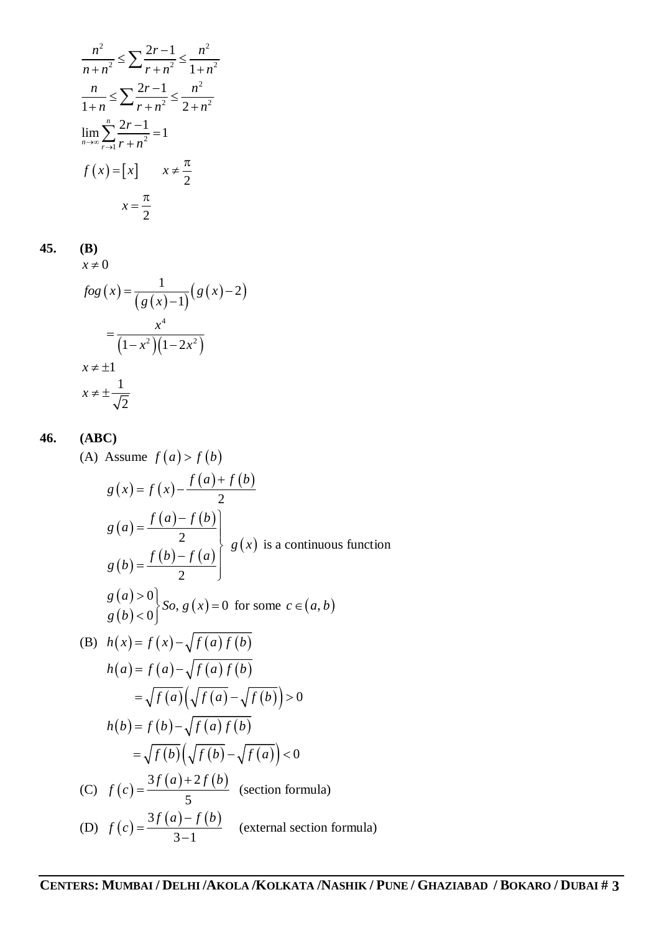$$
\frac{n^2}{n+n^2} \le \sum \frac{2r-1}{r+n^2} \le \frac{n^2}{1+n^2}
$$
  

$$
\frac{n}{1+n} \le \sum \frac{2r-1}{r+n^2} \le \frac{n^2}{2+n^2}
$$
  

$$
\lim_{n \to \infty} \sum_{r \to 1}^{n} \frac{2r-1}{r+n^2} = 1
$$
  

$$
f(x) = [x] \qquad x \ne \frac{\pi}{2}
$$
  

$$
x = \frac{\pi}{2}
$$

**45. (B)**

$$
x \neq 0
$$
  
\n
$$
f \circ g(x) = \frac{1}{(g(x)-1)}(g(x)-2)
$$
  
\n
$$
= \frac{x^4}{(1-x^2)(1-2x^2)}
$$
  
\n
$$
x \neq \pm 1
$$
  
\n
$$
x \neq \pm \frac{1}{\sqrt{2}}
$$

**46. (ABC)**

(A) Assume 
$$
f(a) > f(b)
$$
  
\n
$$
g(x) = f(x) - \frac{f(a) + f(b)}{2}
$$
\n
$$
g(a) = \frac{f(a) - f(b)}{2}
$$
\n
$$
g(b) = \frac{f(b) - f(a)}{2}
$$
\n
$$
g(a) > 0
$$
\n
$$
g(a) > 0
$$
\n
$$
g(b) < 0
$$
\n
$$
h(x) = f(x) - \sqrt{f(a) f(b)}
$$
\n(B)  $h(x) = f(a) - \sqrt{f(a) f(b)}$   
\n
$$
h(a) = f(a) - \sqrt{f(a) f(b)}
$$
\n
$$
= \sqrt{f(a)} (\sqrt{f(a) - \sqrt{f(b)}}) > 0
$$
\n
$$
h(b) = f(b) - \sqrt{f(a) f(b)}
$$
\n
$$
= \sqrt{f(b)} (\sqrt{f(b)} - \sqrt{f(a)}) < 0
$$
\n(C)  $f(c) = \frac{3f(a) + 2f(b)}{5}$  (section formula)  
\n(D)  $f(c) = \frac{3f(a) - f(b)}{3-1}$  (external section formula)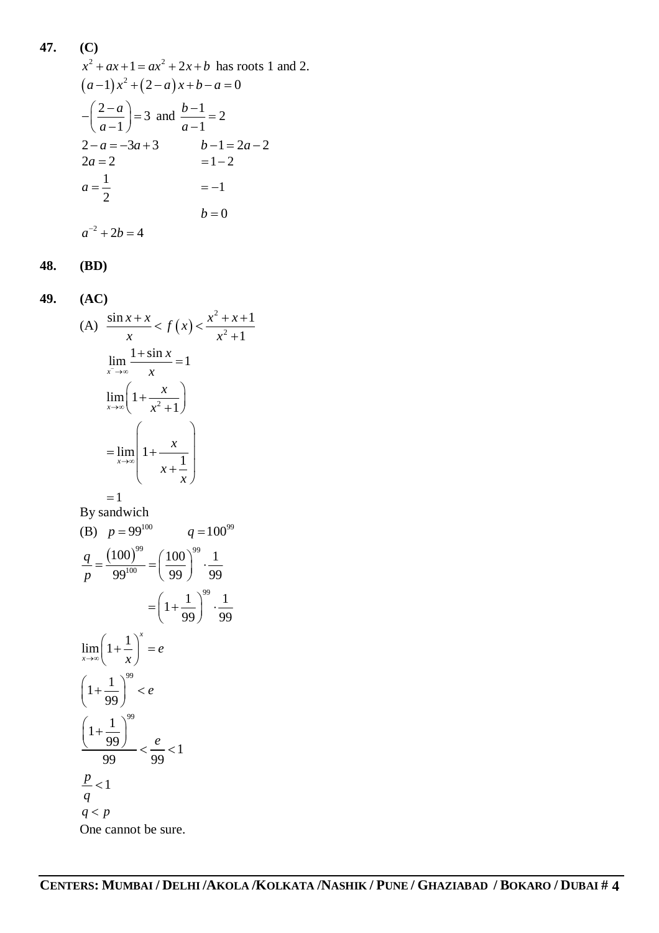47. (C)  
\n
$$
x^2 + ax + 1 = ax^2 + 2x + b
$$
 has roots 1 and 2.  
\n $(a-1)x^2 + (2-a)x + b - a = 0$   
\n $-(\frac{2-a}{a-1}) = 3$  and  $\frac{b-1}{a-1} = 2$   
\n $2-a = -3a + 3$   $b-1 = 2a-2$   
\n $2a = 2$   $= 1-2$   
\n $a = \frac{1}{2}$   $= -1$   
\n $b = 0$ 

**48. (BD)**

49. (AC)  
\n(A) 
$$
\frac{\sin x + x}{x} < f(x) < \frac{x^2 + x + 1}{x^2 + 1}
$$
  
\n $\lim_{x \to \infty} \frac{1 + \sin x}{x} = 1$   
\n $\lim_{x \to \infty} \left(1 + \frac{x}{x^2 + 1}\right)$   
\n $= \lim_{x \to \infty} \left(1 + \frac{x}{x^2 + 1}\right)$   
\n $= 1$   
\nBy sandwich  
\n(B)  $p = 99^{100}$   $q = 100^{99}$   
\n $\frac{q}{p} = \frac{(100)^{99}}{99^{100}} = \left(\frac{100}{99}\right)^{99} \cdot \frac{1}{99}$   
\n $= \left(1 + \frac{1}{99}\right)^{99} \cdot \frac{1}{99}$   
\n $\lim_{x \to \infty} \left(1 + \frac{1}{x}\right)^x = e$   
\n $\left(1 + \frac{1}{99}\right)^{99} < e$   
\n $\frac{\left(1 + \frac{1}{99}\right)^{99}}{99} < \frac{e}{99} < 1$   
\n $\frac{p}{q} < 1$   
\n $q < p$   
\nOne cannot be sure.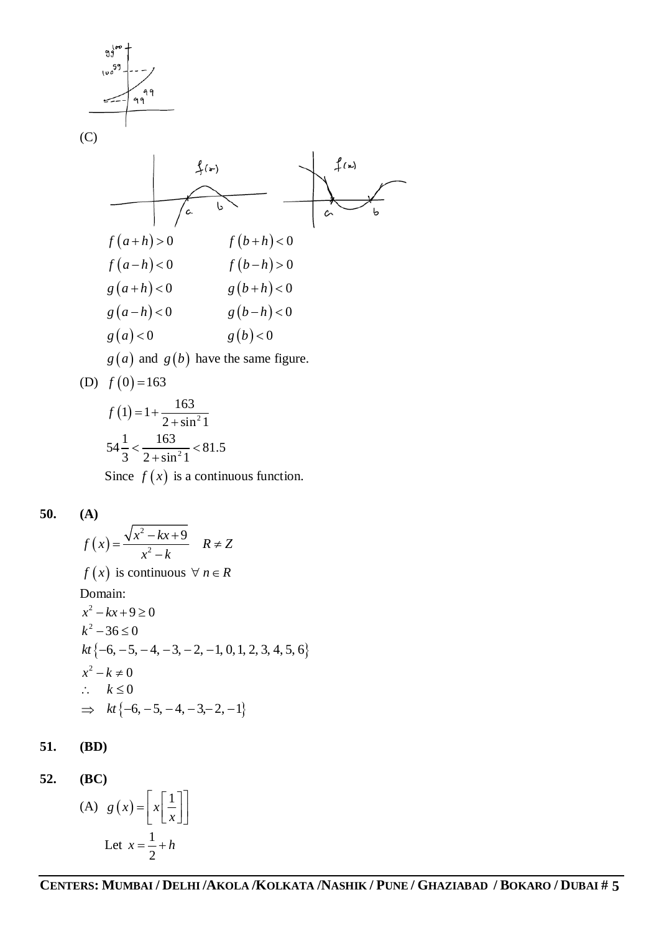

(D) 
$$
f(0) = 163
$$

$$
f(1) = 1 + \frac{163}{2 + \sin^2 1}
$$
  
54 $\frac{1}{3} < \frac{163}{2 + \sin^2 1} < 81.5$   
Since  $f(x)$  is a continuous function.

$$
50. (A)
$$

$$
f(x) = \frac{\sqrt{x^2 - kx + 9}}{x^2 - k}
$$
  $R \neq Z$   
\n $f(x)$  is continuous  $\forall n \in R$   
\nDomain:  
\n $x^2 - kx + 9 \ge 0$   
\n $k^2 - 36 \le 0$   
\n $kt \{-6, -5, -4, -3, -2, -1, 0, 1, 2, 3, 4, 5, 6\}$   
\n $x^2 - k \neq 0$   
\n $\therefore k \le 0$   
\n $\Rightarrow kt \{-6, -5, -4, -3, -2, -1\}$ 

**51. (BD)**

**52. (BC)**

(A) 
$$
g(x) = \left[ x \left[ \frac{1}{x} \right] \right]
$$
  
Let  $x = \frac{1}{2} + h$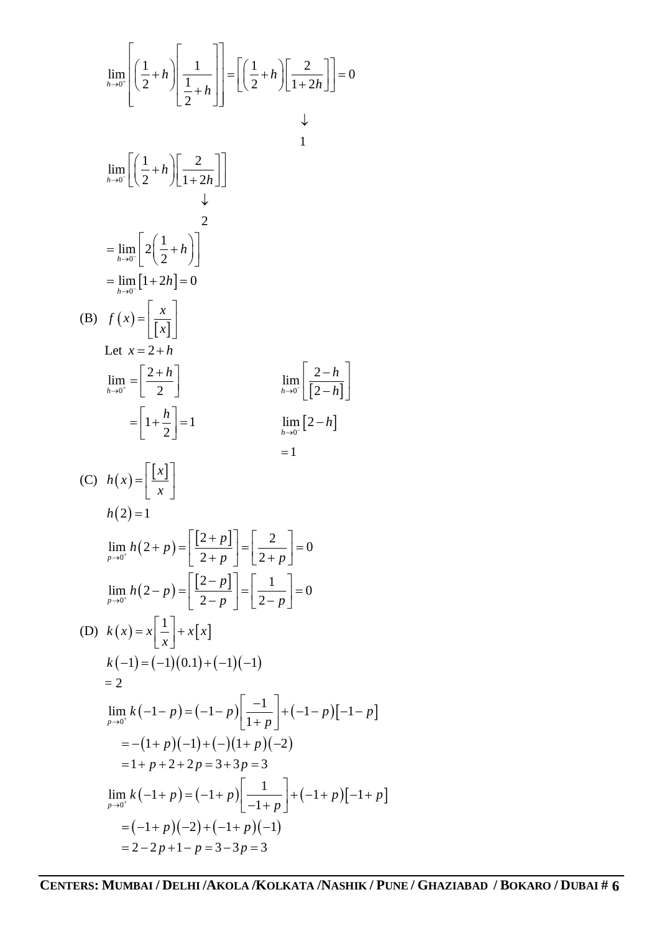$$
\lim_{h\to 0^{-}} \left[ \left( \frac{1}{2} + h \right) \left[ \frac{1}{\frac{1}{2} + h} \right] \right] = \left[ \left( \frac{1}{2} + h \right) \left[ \frac{2}{1 + 2h} \right] \right] = 0
$$
\n
$$
\lim_{h\to 0^{-}} \left[ \left( \frac{1}{2} + h \right) \left[ \frac{2}{1 + 2h} \right] \right]
$$
\n
$$
= \lim_{h\to 0^{-}} \left[ 2 \left( \frac{1}{2} + h \right) \right]
$$
\n
$$
= \lim_{h\to 0^{-}} \left[ 2 \left( \frac{1}{2} + h \right) \right]
$$
\n
$$
= \lim_{h\to 0^{-}} \left[ 1 + 2h \right] = 0
$$
\n(B)  $f(x) = \left[ \frac{x}{x} \right]$   
\nLet  $x = 2 + h$   
\n
$$
\lim_{h\to 0^{-}} \left[ \frac{2 + h}{2} \right]
$$
\n
$$
= \left[ 1 + \frac{h}{2} \right] = 1
$$
\n
$$
\lim_{p\to 0^{-}} h(2 + p) = \left[ \frac{2 + p}{2 + p} \right] = \left[ \frac{2}{2 + p} \right] = 0
$$
\n
$$
\lim_{p\to 0^{+}} h(2 + p) = \left[ \frac{2 + p}{2 + p} \right] = \left[ \frac{2}{2 - p} \right] = 0
$$
\n
$$
\lim_{p\to 0^{+}} h(2 - p) = \left[ \frac{2 - p}{2 - p} \right] = \left[ \frac{1}{2 - p} \right] = 0
$$
\n(D)  $k(x) = x \left[ \frac{1}{x} \right] + x[x]$   
\n $k(-1) = (-1)(0.1) + (-1)(-1)$   
\n
$$
= 2
$$
  
\n
$$
\lim_{p\to 0^{+}} k(-1 - p) = (-1 - p) \left[ \frac{-1}{1 + p} \right] + (-1 - p) \left[ -1 - p \right]
$$
\n
$$
= -(1 + p)(-1) + (-)(1 + p)(-2)
$$
\n
$$
= 1 + p + 2 + 2p = 3 + 3p = 3
$$
\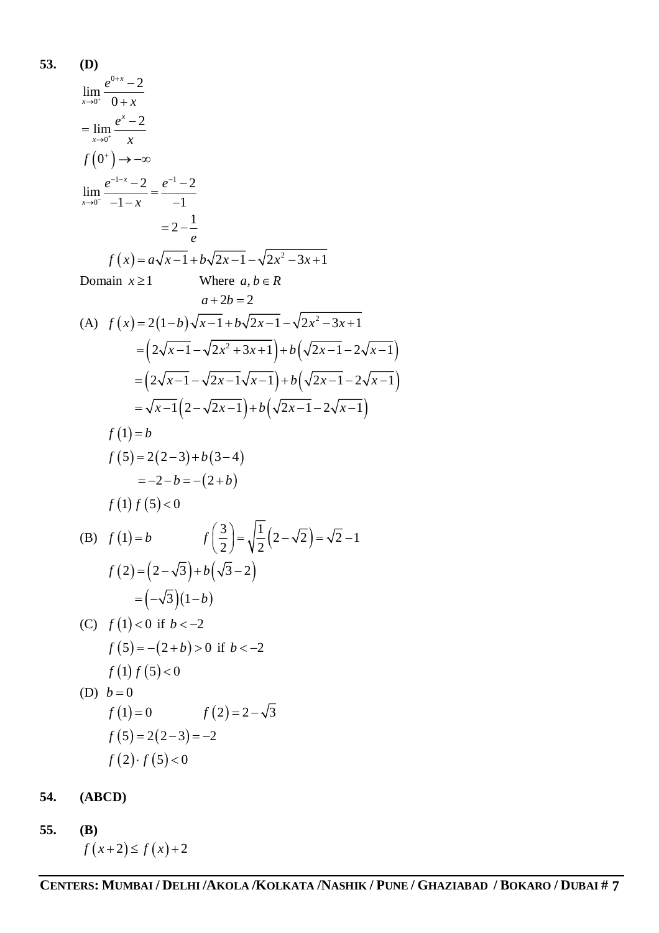53. **(D)**  
\n
$$
\lim_{x\to 0^{+}} \frac{e^{x} - 2}{0 + x}
$$
\n
$$
= \lim_{x\to 0^{+}} \frac{e^{x} - 2}{x}
$$
\n
$$
f(0^{+}) \to -\infty
$$
\n
$$
\lim_{x\to 0^{-}} \frac{e^{-1-x} - 2}{-1 - x} = \frac{e^{-1} - 2}{-1}
$$
\n
$$
= 2 - \frac{1}{e}
$$
\n
$$
f(x) = a\sqrt{x-1} + b\sqrt{2x-1} - \sqrt{2x^{2} - 3x + 1}
$$
\nDomain  $x \ge 1$  Where  $a, b \in R$   
\n $a + 2b = 2$   
\n(A)  $f(x) = 2(1 - b)\sqrt{x-1} + b\sqrt{2x-1} - \sqrt{2x^{2} - 3x + 1}$   
\n
$$
= (2\sqrt{x-1} - \sqrt{2x^{2} + 3x + 1}) + b(\sqrt{2x-1} - 2\sqrt{x-1})
$$
\n
$$
= (2\sqrt{x-1} - \sqrt{2x-1}\sqrt{x-1}) + b(\sqrt{2x-1} - 2\sqrt{x-1})
$$
\n
$$
= \sqrt{x-1}(2 - \sqrt{2x-1}) + b(\sqrt{2x-1} - 2\sqrt{x-1})
$$
\n
$$
f(1) = b
$$
\n
$$
f(5) = 2(2-3) + b(3-4)
$$
\n
$$
= -2 - b = -(2 + b)
$$
\n
$$
f(1) f(5) < 0
$$
\n(B)  $f(1) = b$   $f(\frac{3}{2}) = \sqrt{\frac{1}{2}(2-\sqrt{2})} = \sqrt{2} - 1$   
\n
$$
f(2) = (2-\sqrt{3}) + b(\sqrt{3} - 2)
$$
\n
$$
= (-\sqrt{3})(1-b)
$$
\n(C)  $f(1) < 0$  if  $b < -2$   
\n $f(5) = -(2 + b) > 0$  if  $b < -2$   
\n $f(1) f(5) < 0$   
\n(D)  $b = 0$   
\n
$$
f(1) = 0
$$

**54. (ABCD)**

**55. (B)**  $f(x+2) \le f(x)+2$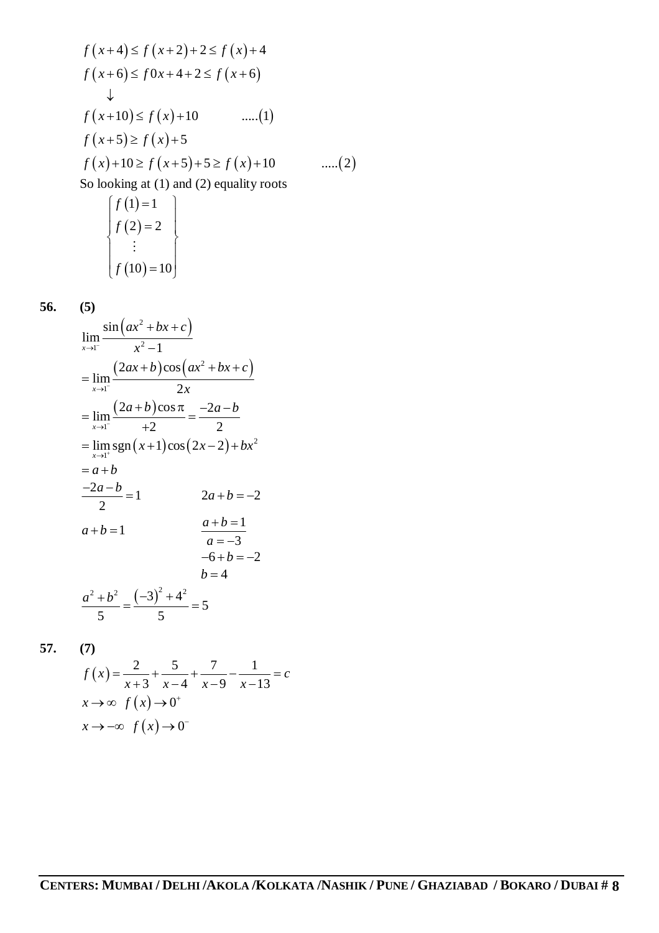$$
f(x+4) \le f(x+2) + 2 \le f(x) + 4
$$
  
\n
$$
f(x+6) \le f0x + 4 + 2 \le f(x+6)
$$
  
\n
$$
\downarrow
$$
  
\n
$$
f(x+10) \le f(x) + 10 \qquad \qquad ....(1)
$$
  
\n
$$
f(x+5) \ge f(x) + 5
$$
  
\n
$$
f(x) + 10 \ge f(x+5) + 5 \ge f(x) + 10 \qquad ....(2)
$$
  
\nSo looking at (1) and (2) equality roots  
\n
$$
\begin{cases} f(1) = 1 \\ f(2) = 2 \end{cases}
$$

$$
\begin{cases}\nf(2) = 2 \\
\vdots \\
f(10) = 10\n\end{cases}
$$

$$
56.
$$

**56. (5)**

$$
\lim_{x \to 1^{-}} \frac{\sin (ax^2 + bx + c)}{x^2 - 1}
$$
\n
$$
= \lim_{x \to 1^{-}} \frac{(2ax + b)\cos (ax^2 + bx + c)}{2x}
$$
\n
$$
= \lim_{x \to 1^{-}} \frac{(2a + b)\cos \pi}{+2} = \frac{-2a - b}{2}
$$
\n
$$
= \lim_{x \to 1^{+}} \text{sgn}(x+1)\cos (2x-2) + bx^2
$$
\n
$$
= a + b
$$
\n
$$
\frac{-2a - b}{2} = 1 \qquad 2a + b = -2
$$
\n
$$
a + b = 1 \qquad \frac{a + b = 1}{a = -3}
$$
\n
$$
-6 + b = -2
$$
\n
$$
b = 4
$$
\n
$$
\frac{a^2 + b^2}{5} = \frac{(-3)^2 + 4^2}{5} = 5
$$

**57. (7)**

$$
f(x) = \frac{2}{x+3} + \frac{5}{x-4} + \frac{7}{x-9} - \frac{1}{x-13} = c
$$
  

$$
x \to \infty \quad f(x) \to 0^+
$$
  

$$
x \to -\infty \quad f(x) \to 0^-
$$